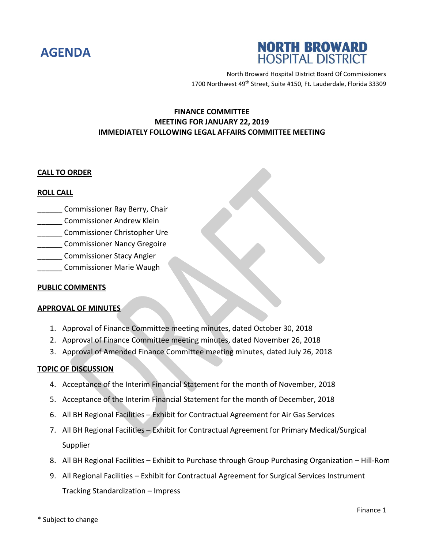



North Broward Hospital District Board Of Commissioners 1700 Northwest 49<sup>th</sup> Street, Suite #150, Ft. Lauderdale, Florida 33309

# **FINANCE COMMITTEE MEETING FOR JANUARY 22, 2019 IMMEDIATELY FOLLOWING LEGAL AFFAIRS COMMITTEE MEETING**

### **CALL TO ORDER**

### **ROLL CALL**

- \_\_\_\_\_\_ Commissioner Ray Berry, Chair
- \_\_\_\_\_\_ Commissioner Andrew Klein
- \_\_\_\_\_\_ Commissioner Christopher Ure
- \_\_\_\_\_\_ Commissioner Nancy Gregoire
- \_\_\_\_\_\_ Commissioner Stacy Angier
- \_\_\_\_\_\_ Commissioner Marie Waugh

## **PUBLIC COMMENTS**

# **APPROVAL OF MINUTES**

- 1. Approval of Finance Committee meeting minutes, dated October 30, 2018
- 2. Approval of Finance Committee meeting minutes, dated November 26, 2018
- 3. Approval of Amended Finance Committee meeting minutes, dated July 26, 2018

### **TOPIC OF DISCUSSION**

- 4. Acceptance of the Interim Financial Statement for the month of November, 2018
- 5. Acceptance of the Interim Financial Statement for the month of December, 2018
- 6. All BH Regional Facilities Exhibit for Contractual Agreement for Air Gas Services
- 7. All BH Regional Facilities Exhibit for Contractual Agreement for Primary Medical/Surgical Supplier
- 8. All BH Regional Facilities Exhibit to Purchase through Group Purchasing Organization Hill-Rom
- 9. All Regional Facilities Exhibit for Contractual Agreement for Surgical Services Instrument Tracking Standardization – Impress